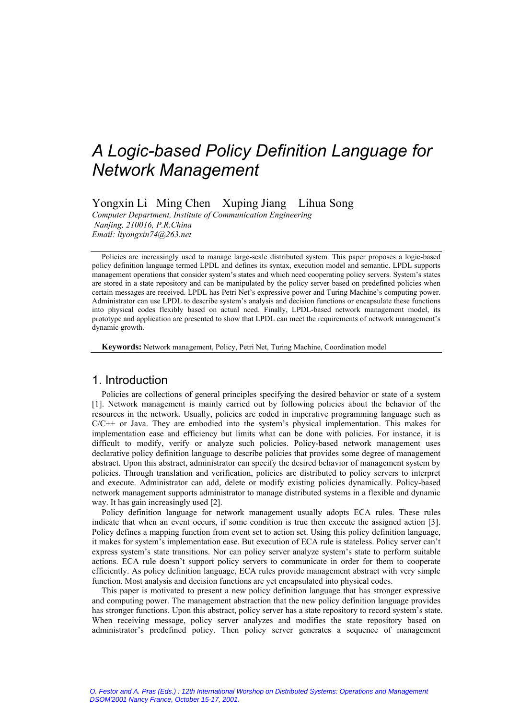# *A Logic-based Policy Definition Language for Network Management*

Yongxin Li Ming Chen Xuping Jiang Lihua Song

*Computer Department, Institute of Communication Engineering Nanjing, 210016, P.R.China Email: [liyongxin74@263.net](mailto:liyongxin74@263.net)*

Policies are increasingly used to manage large-scale distributed system. This paper proposes a logic-based policy definition language termed LPDL and defines its syntax, execution model and semantic. LPDL supports management operations that consider system's states and which need cooperating policy servers. System's states are stored in a state repository and can be manipulated by the policy server based on predefined policies when certain messages are received. LPDL has Petri Net's expressive power and Turing Machine's computing power. Administrator can use LPDL to describe system's analysis and decision functions or encapsulate these functions into physical codes flexibly based on actual need. Finally, LPDL-based network management model, its prototype and application are presented to show that LPDL can meet the requirements of network management's dynamic growth.

**Keywords:** Network management, Policy, Petri Net, Turing Machine, Coordination model

# 1. Introduction

Policies are collections of general principles specifying the desired behavior or state of a system [1]. Network management is mainly carried out by following policies about the behavior of the resources in the network. Usually, policies are coded in imperative programming language such as C/C++ or Java. They are embodied into the system's physical implementation. This makes for implementation ease and efficiency but limits what can be done with policies. For instance, it is difficult to modify, verify or analyze such policies. Policy-based network management uses declarative policy definition language to describe policies that provides some degree of management abstract. Upon this abstract, administrator can specify the desired behavior of management system by policies. Through translation and verification, policies are distributed to policy servers to interpret and execute. Administrator can add, delete or modify existing policies dynamically. Policy-based network management supports administrator to manage distributed systems in a flexible and dynamic way. It has gain increasingly used [2].

Policy definition language for network management usually adopts ECA rules. These rules indicate that when an event occurs, if some condition is true then execute the assigned action [3]. Policy defines a mapping function from event set to action set. Using this policy definition language, it makes for system's implementation ease. But execution of ECA rule is stateless. Policy server can't express system's state transitions. Nor can policy server analyze system's state to perform suitable actions. ECA rule doesn't support policy servers to communicate in order for them to cooperate efficiently. As policy definition language, ECA rules provide management abstract with very simple function. Most analysis and decision functions are yet encapsulated into physical codes.

This paper is motivated to present a new policy definition language that has stronger expressive and computing power. The management abstraction that the new policy definition language provides has stronger functions. Upon this abstract, policy server has a state repository to record system's state. When receiving message, policy server analyzes and modifies the state repository based on administrator's predefined policy. Then policy server generates a sequence of management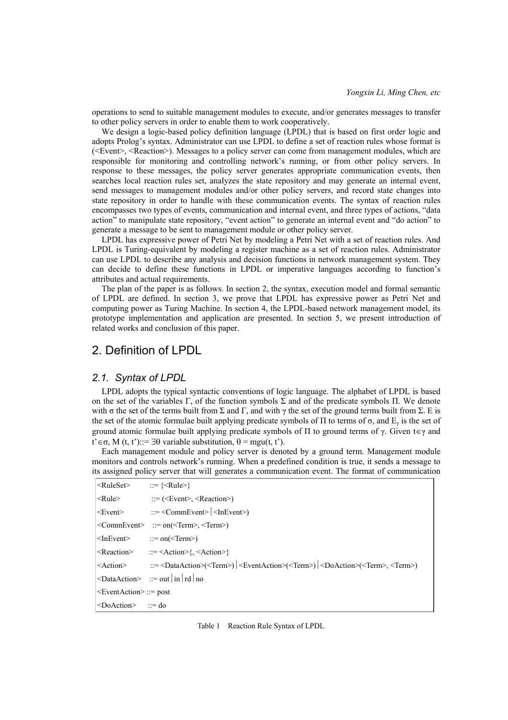operations to send to suitable management modules to execute, and/or generates messages to transfer to other policy servers in order to enable them to work cooperatively.

We design a logic-based policy definition language (LPDL) that is based on first order logic and adopts Prolog's syntax. Administrator can use LPDL to define a set of reaction rules whose format is (<Event>, <Reaction>). Messages to a policy server can come from management modules, which are responsible for monitoring and controlling network's running, or from other policy servers. In response to these messages, the policy server generates appropriate communication events, then searches local reaction rules set, analyzes the state repository and may generate an internal event, send messages to management modules and/or other policy servers, and record state changes into state repository in order to handle with these communication events. The syntax of reaction rules encompasses two types of events, communication and internal event, and three types of actions, "data action" to manipulate state repository, "event action" to generate an internal event and "do action" to generate a message to be sent to management module or other policy server.

LPDL has expressive power of Petri Net by modeling a Petri Net with a set of reaction rules. And LPDL is Turing-equivalent by modeling a register machine as a set of reaction rules. Administrator can use LPDL to describe any analysis and decision functions in network management system. They can decide to define these functions in LPDL or imperative languages according to function's attributes and actual requirements.

The plan of the paper is as follows. In section 2, the syntax, execution model and formal semantic of LPDL are defined. In section 3, we prove that LPDL has expressive power as Petri Net and computing power as Turing Machine. In section 4, the LPDL-based network management model, its prototype implementation and application are presented. In section 5, we present introduction of related works and conclusion of this paper.

# 2. Definition of LPDL

## *2.1. Syntax of LPDL*

LPDL adopts the typical syntactic conventions of logic language. The alphabet of LPDL is based on the set of the variables Γ, of the function symbols Σ and of the predicate symbols Π. We denote with  $\sigma$  the set of the terms built from  $\Sigma$  and  $\Gamma$ , and with  $\gamma$  the set of the ground terms built from  $\Sigma$ . E is the set of the atomic formulae built applying predicate symbols of  $\Pi$  to terms of  $\sigma$ , and  $E_\gamma$  is the set of ground atomic formulae built applying predicate symbols of Π to ground terms of γ. Given t∈γ and t' $\epsilon \sigma$ , M (t, t')::=  $\exists \theta$  variable substitution,  $\theta$  = mgu(t, t').

Each management module and policy server is denoted by a ground term. Management module monitors and controls network's running. When a predefined condition is true, it sends a message to its assigned policy server that will generates a communication event. The format of communication

| $ \langle \text{RuleSet} \rangle$ ::= $\langle \langle \text{Rule} \rangle \rangle$ |                                                                                                             |
|-------------------------------------------------------------------------------------|-------------------------------------------------------------------------------------------------------------|
|                                                                                     | $ \langle \text{Rule}\rangle$ ::= ( $\langle \text{Event}\rangle$ , $\langle \text{Reaction}\rangle$ )      |
|                                                                                     | $ \langle$ Event> ::= <commevent><math> \langle</math>InEvent&gt;)</commevent>                              |
|                                                                                     | $ \langle \text{CommEvent} \rangle  := \text{on}(\langle \text{Term} \rangle, \langle \text{Term} \rangle)$ |
|                                                                                     | $ \langle InEvent \rangle$ ::= on( $\langle Term \rangle$ )                                                 |
|                                                                                     | <reaction> ::= <action>{, <action>}</action></action></reaction>                                            |
|                                                                                     |                                                                                                             |
|                                                                                     | <dataaction> ::= out   in   rd   no</dataaction>                                                            |
| $ \leq$ EventAction> ::= post                                                       |                                                                                                             |
| $ \leq$ DoAction> ::= do                                                            |                                                                                                             |

Table 1 Reaction Rule Syntax of LPDL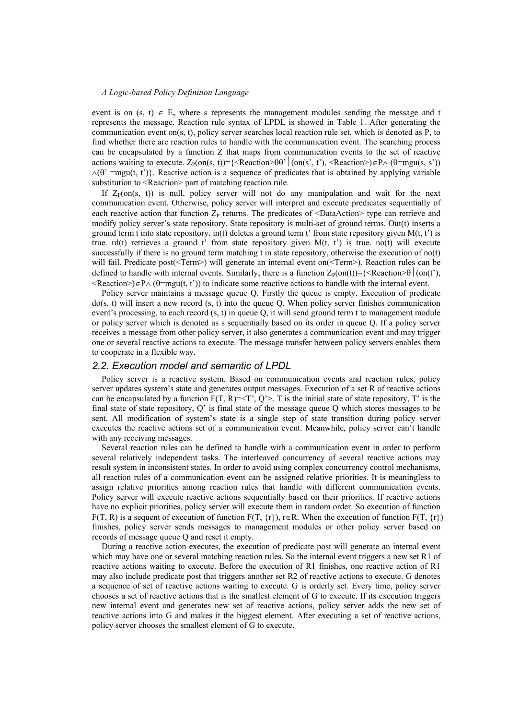#### *A Logic-based Policy Definition Language*

event is on  $(s, t) \in E_{\gamma}$  where s represents the management modules sending the message and t represents the message. Reaction rule syntax of LPDL is showed in Table 1. After generating the communication event on(s, t), policy server searches local reaction rule set, which is denoted as P, to find whether there are reaction rules to handle with the communication event. The searching process can be encapsulated by a function Z that maps from communication events to the set of reactive actions waiting to execute.  $Z_P(\text{on}(s, t)) = \{ \langle \text{Reaction} \rangle \Theta \Theta \} \cdot | (\text{on}(s', t'), \langle \text{Reaction} \rangle) \in P \land (\theta = \text{mgu}(s, s'))$  $\wedge$ (θ' =mgu(t, t')}. Reactive action is a sequence of predicates that is obtained by applying variable substitution to <Reaction> part of matching reaction rule.

If  $Z_P$ (on(s, t)) is null, policy server will not do any manipulation and wait for the next communication event. Otherwise, policy server will interpret and execute predicates sequentially of each reactive action that function  $Z_P$  returns. The predicates of  $\leq$ DataAction $\geq$  type can retrieve and modify policy server's state repository. State repository is multi-set of ground terms. Out(t) inserts a ground term t into state repository. in(t) deletes a ground term t' from state repository given M(t, t') is true.  $rd(t)$  retrieves a ground t' from state repository given  $M(t, t')$  is true. no(t) will execute successfully if there is no ground term matching t in state repository, otherwise the execution of no(t) will fail. Predicate post(<Term>) will generate an internal event on(<Term>). Reaction rules can be defined to handle with internal events. Similarly, there is a function  $Z_P(\text{on}(t)) = \{ \langle \text{Reaction} \rangle \Theta \mid (\text{on}(t^*) \rangle, \langle \text{Im}(t^*) \rangle \}$  $\leq$ Reaction>)∈P∧ ( $\theta$ =mgu(t, t')) to indicate some reactive actions to handle with the internal event.

Policy server maintains a message queue Q. Firstly the queue is empty. Execution of predicate do(s, t) will insert a new record (s, t) into the queue Q. When policy server finishes communication event's processing, to each record (s, t) in queue Q, it will send ground term t to management module or policy server which is denoted as s sequentially based on its order in queue Q. If a policy server receives a message from other policy server, it also generates a communication event and may trigger one or several reactive actions to execute. The message transfer between policy servers enables them to cooperate in a flexible way.

### *2.2. Execution model and semantic of LPDL*

Policy server is a reactive system. Based on communication events and reaction rules, policy server updates system's state and generates output messages. Execution of a set R of reactive actions can be encapsulated by a function  $F(T, R) = \langle T', Q' \rangle$ . T is the initial state of state repository, T' is the final state of state repository, Q' is final state of the message queue Q which stores messages to be sent. All modification of system's state is a single step of state transition during policy server executes the reactive actions set of a communication event. Meanwhile, policy server can't handle with any receiving messages.

Several reaction rules can be defined to handle with a communication event in order to perform several relatively independent tasks. The interleaved concurrency of several reactive actions may result system in inconsistent states. In order to avoid using complex concurrency control mechanisms, all reaction rules of a communication event can be assigned relative priorities. It is meaningless to assign relative priorities among reaction rules that handle with different communication events. Policy server will execute reactive actions sequentially based on their priorities. If reactive actions have no explicit priorities, policy server will execute them in random order. So execution of function F(T, R) is a sequent of execution of function F(T,  $\{r\}$ ), r∈R. When the execution of function F(T,  $\{r\}$ ) finishes, policy server sends messages to management modules or other policy server based on records of message queue Q and reset it empty.

During a reactive action executes, the execution of predicate post will generate an internal event which may have one or several matching reaction rules. So the internal event triggers a new set R1 of reactive actions waiting to execute. Before the execution of R1 finishes, one reactive action of R1 may also include predicate post that triggers another set R2 of reactive actions to execute. G denotes a sequence of set of reactive actions waiting to execute. G is orderly set. Every time, policy server chooses a set of reactive actions that is the smallest element of G to execute. If its execution triggers new internal event and generates new set of reactive actions, policy server adds the new set of reactive actions into G and makes it the biggest element. After executing a set of reactive actions, policy server chooses the smallest element of G to execute.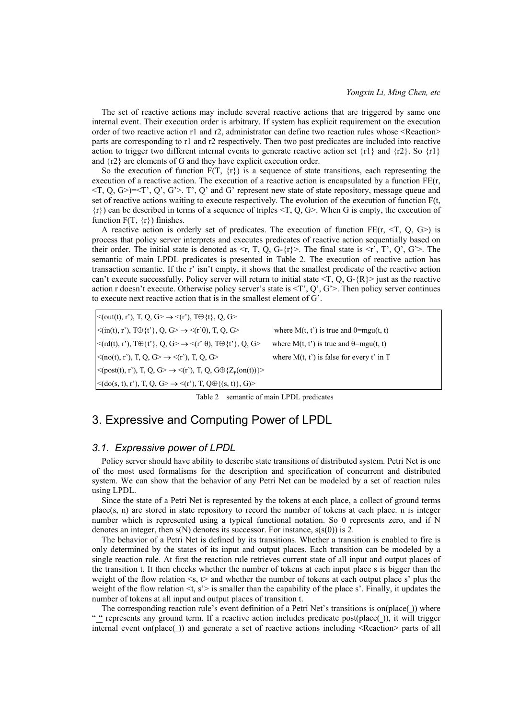The set of reactive actions may include several reactive actions that are triggered by same one internal event. Their execution order is arbitrary. If system has explicit requirement on the execution order of two reactive action r1 and r2, administrator can define two reaction rules whose <Reaction> parts are corresponding to r1 and r2 respectively. Then two post predicates are included into reactive action to trigger two different internal events to generate reactive action set  $\{r1\}$  and  $\{r2\}$ . So  $\{r1\}$ and {r2} are elements of G and they have explicit execution order.

So the execution of function  $F(T, \{r\})$  is a sequence of state transitions, each representing the execution of a reactive action. The execution of a reactive action is encapsulated by a function  $FE(r,$  $\langle T, Q, G \rangle$  =  $\langle T', Q', G' \rangle$ . T', Q' and G' represent new state of state repository, message queue and set of reactive actions waiting to execute respectively. The evolution of the execution of function F(t,  ${r}$ ) can be described in terms of a sequence of triples  $\leq T$ , Q, G  $>$ . When G is empty, the execution of function  $F(T, \{r\})$  finishes.

A reactive action is orderly set of predicates. The execution of function FE(r,  $\leq T$ , Q, G $\geq$ ) is process that policy server interprets and executes predicates of reactive action sequentially based on their order. The initial state is denoted as  $\leq r$ , T, Q, G-{r}>. The final state is  $\leq r'$ , T', Q', G'>. The semantic of main LPDL predicates is presented in Table 2. The execution of reactive action has transaction semantic. If the r' isn't empty, it shows that the smallest predicate of the reactive action can't execute successfully. Policy server will return to initial state  $\langle T, Q, G\cdot\{R\}\rangle$  just as the reactive action r doesn't execute. Otherwise policy server's state is <T', Q', G'>. Then policy server continues to execute next reactive action that is in the smallest element of G'.

 $\leq$ (out(t), r'), T, O, G  $\Rightarrow$   $\leq$  (r'), T $\oplus$ {t}, O, G  $\geq$  $\langle (in(t), r'), T \oplus \{t'\}, Q, G \rangle \rightarrow \langle (r^{\prime} \theta), T, Q, G \rangle$  where M(t, t') is true and  $\theta = mgu(t, t)$  $\langle \text{rdr}(t), r^{\prime}\rangle$ ,  $\text{T} \oplus \{t^{\prime}\}, Q, G \rangle \rightarrow \langle r^{\prime} \oplus \}$ ,  $\text{T} \oplus \{t^{\prime}\}, Q, G \rangle$  where M(t, t') is true and  $\theta = \text{mgu}(t, t)$  $\langle (no(t), r'), T, Q, G \rangle \rightarrow \langle r' \rangle, T, Q, G \rangle$  where  $M(t, t')$  is false for every t' in T  $\langle (post(t), r'), T, Q, G \rangle \rightarrow \langle r' \rangle, T, Q, G \oplus \{Z_p(on(t))\} \rangle$  $\langle \text{do}(s, t), r \rangle$ , T, Q, G $\ge \to \langle r \rangle$ , T, Q $\oplus \{(s, t)\},$  G $\ge$ 

Table 2 semantic of main LPDL predicates

# 3. Expressive and Computing Power of LPDL

## *3.1. Expressive power of LPDL*

Policy server should have ability to describe state transitions of distributed system. Petri Net is one of the most used formalisms for the description and specification of concurrent and distributed system. We can show that the behavior of any Petri Net can be modeled by a set of reaction rules using LPDL.

Since the state of a Petri Net is represented by the tokens at each place, a collect of ground terms place(s, n) are stored in state repository to record the number of tokens at each place. n is integer number which is represented using a typical functional notation. So 0 represents zero, and if N denotes an integer, then  $s(N)$  denotes its successor. For instance,  $s(s(0))$  is 2.

The behavior of a Petri Net is defined by its transitions. Whether a transition is enabled to fire is only determined by the states of its input and output places. Each transition can be modeled by a single reaction rule. At first the reaction rule retrieves current state of all input and output places of the transition t. It then checks whether the number of tokens at each input place s is bigger than the weight of the flow relation  $\leq s$ ,  $\geq$  and whether the number of tokens at each output place s' plus the weight of the flow relation  $\lt t$ , s'> is smaller than the capability of the place s'. Finally, it updates the number of tokens at all input and output places of transition t.

The corresponding reaction rule's event definition of a Petri Net's transitions is on(place()) where " " represents any ground term. If a reactive action includes predicate post(place()), it will trigger internal event on(place()) and generate a set of reactive actions including <Reaction parts of all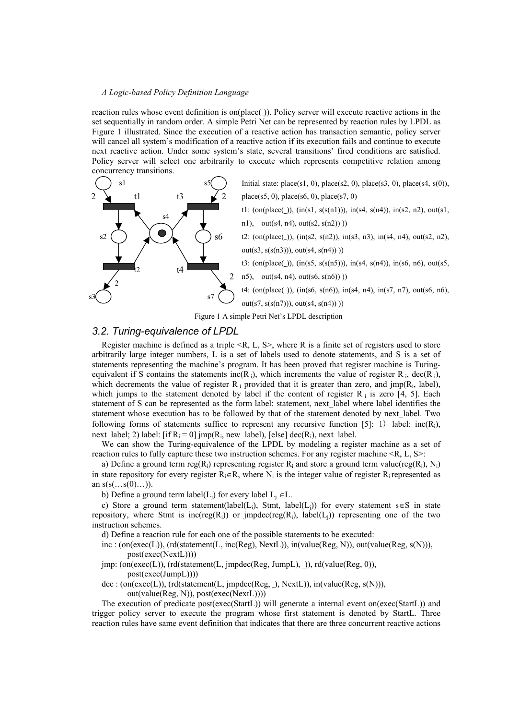#### *A Logic-based Policy Definition Language*

reaction rules whose event definition is on(place( )). Policy server will execute reactive actions in the set sequentially in random order. A simple Petri Net can be represented by reaction rules by LPDL as Figure 1 illustrated. Since the execution of a reactive action has transaction semantic, policy server will cancel all system's modification of a reactive action if its execution fails and continue to execute next reactive action. Under some system's state, several transitions' fired conditions are satisfied. Policy server will select one arbitrarily to execute which represents competitive relation among concurrency transitions.



Initial state: place(s1, 0), place(s2, 0), place(s3, 0), place(s4,  $s(0)$ ), place(s5, 0), place(s6, 0), place(s7, 0)

t1:  $(on(place\_))$ ,  $(in(s1, s(s(n1))))$ ,  $in(s4, s(n4))$ ,  $in(s2, n2)$ ,  $out(s1,$ n1), out(s4, n4), out(s2, s(n2)) ))

t2:  $(on(place\_))$ ,  $(in(s2, s(n2))$ ,  $in(s3, n3)$ ,  $in(s4, n4)$ ,  $out(s2, n2)$ , out(s3,  $s(s(n3))$ ), out(s4,  $s(n4)$ ))

t3: (on(place(\_)), (in(s5, s(s(n5))), in(s4, s(n4)), in(s6, n6), out(s5, n5),  $out(s4, n4)$ ,  $out(s6, s(n6))$ 

t4:  $(on(place\_))$ ,  $(in(56, s(n6))$ ,  $in(54, n4)$ ,  $in(57, n7)$ ,  $out(56, n6)$ ,  $out(s7, s(s(n7))), out(s4, s(n4)))$ 

Figure 1 A simple Petri Net's LPDL description

## *3.2. Turing-equivalence of LPDL*

Register machine is defined as a triple  $\leq R$ , L, S $>$ , where R is a finite set of registers used to store arbitrarily large integer numbers, L is a set of labels used to denote statements, and S is a set of statements representing the machine's program. It has been proved that register machine is Turingequivalent if S contains the statements inc(R<sub>i</sub>), which increments the value of register R<sub>i</sub>, dec(R<sub>i</sub>), which decrements the value of register  $R_i$  provided that it is greater than zero, and  $\text{imp}(R_i, \text{label})$ , which jumps to the statement denoted by label if the content of register  $R_i$  is zero [4, 5]. Each statement of S can be represented as the form label: statement, next\_label where label identifies the statement whose execution has to be followed by that of the statement denoted by next\_label. Two following forms of statements suffice to represent any recursive function [5]: 1) label: inc $(R_i)$ , next\_label; 2) label: [if R<sub>i</sub> = 0] jmp(R<sub>i</sub>, new\_label), [else] dec(R<sub>i</sub>), next\_label.

We can show the Turing-equivalence of the LPDL by modeling a register machine as a set of reaction rules to fully capture these two instruction schemes. For any register machine <R, L, S>:

a) Define a ground term reg( $R_i$ ) representing register  $R_i$  and store a ground term value(reg( $R_i$ ),  $N_i$ ) in state repository for every register  $R_i \in R$ , where  $N_i$  is the integer value of register  $R_i$  represented as an  $s(s(...s(0)...))$ .

b) Define a ground term label( $L_i$ ) for every label  $L_i \in L$ .

c) Store a ground term statement(label(L<sub>i</sub>), Stmt, label(L<sub>i</sub>)) for every statement s∈S in state repository, where Stmt is  $inc(reg(R_i))$  or  $impdec(reg(R_i), label(L_i))$  representing one of the two instruction schemes.

d) Define a reaction rule for each one of the possible statements to be executed:

- inc : (on(exec(L)), (rd(statement(L, inc(Reg), NextL)), in(value(Reg, N)), out(value(Reg, s(N))), post(exec(NextL))))
- jmp: (on(exec(L)), (rd(statement(L, jmpdec(Reg, JumpL), )), rd(value(Reg, 0)), post(exec(JumpL))))
- dec : (on(exec(L)), (rd(statement(L, jmpdec(Reg, ), NextL)), in(value(Reg, s(N))), out(value(Reg, N)), post(exec(NextL))))

The execution of predicate post(exec(StartL)) will generate a internal event on(exec(StartL)) and trigger policy server to execute the program whose first statement is denoted by StartL. Three reaction rules have same event definition that indicates that there are three concurrent reactive actions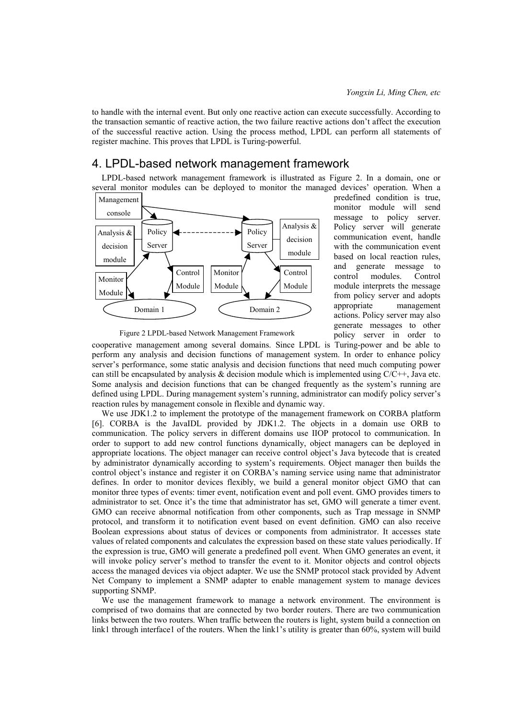to handle with the internal event. But only one reactive action can execute successfully. According to the transaction semantic of reactive action, the two failure reactive actions don't affect the execution of the successful reactive action. Using the process method, LPDL can perform all statements of register machine. This proves that LPDL is Turing-powerful.

# 4. LPDL-based network management framework

LPDL-based network management framework is illustrated as Figure 2. In a domain, one or several monitor modules can be deployed to monitor the managed devices' operation. When a



predefined condition is true, monitor module will send message to policy server. Policy server will generate communication event, handle with the communication event based on local reaction rules, and generate message to control modules. Control module interprets the message from policy server and adopts appropriate management actions. Policy server may also generate messages to other policy server in order to

Figure 2 LPDL-based Network Management Framework

cooperative management among several domains. Since LPDL is Turing-power and be able to perform any analysis and decision functions of management system. In order to enhance policy server's performance, some static analysis and decision functions that need much computing power can still be encapsulated by analysis & decision module which is implemented using  $C/C++$ , Java etc. Some analysis and decision functions that can be changed frequently as the system's running are defined using LPDL. During management system's running, administrator can modify policy server's reaction rules by management console in flexible and dynamic way.

We use JDK1.2 to implement the prototype of the management framework on CORBA platform [6]. CORBA is the JavaIDL provided by JDK1.2. The objects in a domain use ORB to communication. The policy servers in different domains use IIOP protocol to communication. In order to support to add new control functions dynamically, object managers can be deployed in appropriate locations. The object manager can receive control object's Java bytecode that is created by administrator dynamically according to system's requirements. Object manager then builds the control object's instance and register it on CORBA's naming service using name that administrator defines. In order to monitor devices flexibly, we build a general monitor object GMO that can monitor three types of events: timer event, notification event and poll event. GMO provides timers to administrator to set. Once it's the time that administrator has set, GMO will generate a timer event. GMO can receive abnormal notification from other components, such as Trap message in SNMP protocol, and transform it to notification event based on event definition. GMO can also receive Boolean expressions about status of devices or components from administrator. It accesses state values of related components and calculates the expression based on these state values periodically. If the expression is true, GMO will generate a predefined poll event. When GMO generates an event, it will invoke policy server's method to transfer the event to it. Monitor objects and control objects access the managed devices via object adapter. We use the SNMP protocol stack provided by Advent Net Company to implement a SNMP adapter to enable management system to manage devices supporting SNMP.

We use the management framework to manage a network environment. The environment is comprised of two domains that are connected by two border routers. There are two communication links between the two routers. When traffic between the routers is light, system build a connection on link1 through interface1 of the routers. When the link1's utility is greater than 60%, system will build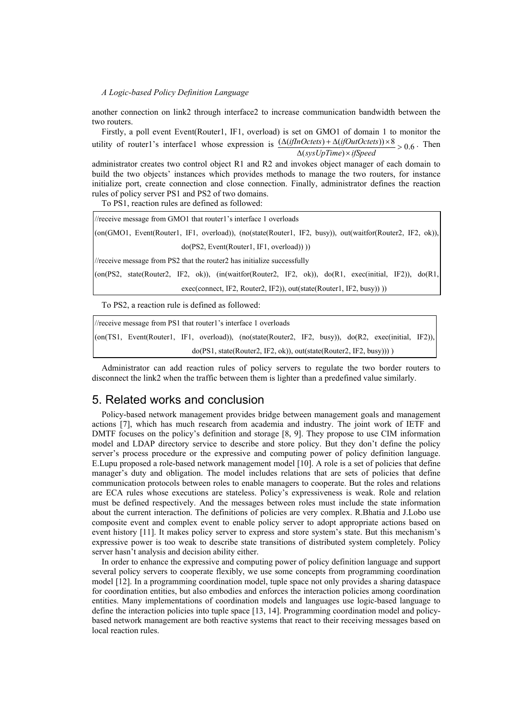#### *A Logic-based Policy Definition Language*

another connection on link2 through interface2 to increase communication bandwidth between the two routers.

Firstly, a poll event Event(Router1, IF1, overload) is set on GMO1 of domain 1 to monitor the utility of router1's interface1 whose expression is  $\frac{(\Delta(i) \text{fInOctets}) + \Delta(i) \text{fOutOctets}) \times 8}{\Delta(i) \text{fInOrb} \times 8} > 0.6$ . Then ( ) ∆ × *sysUpTime ifSpeed*

administrator creates two control object R1 and R2 and invokes object manager of each domain to build the two objects' instances which provides methods to manage the two routers, for instance initialize port, create connection and close connection. Finally, administrator defines the reaction rules of policy server PS1 and PS2 of two domains.

To PS1, reaction rules are defined as followed:

//receive message from GMO1 that router1's interface 1 overloads (on(GMO1, Event(Router1, IF1, overload)), (no(state(Router1, IF2, busy)), out(waitfor(Router2, IF2, ok)), do(PS2, Event(Router1, IF1, overload)) )) //receive message from PS2 that the router2 has initialize successfully (on(PS2, state(Router2, IF2, ok)), (in(waitfor(Router2, IF2, ok)), do(R1, exec(initial, IF2)), do(R1, exec(connect, IF2, Router2, IF2)), out(state(Router1, IF2, busy)))) To PS2, a reaction rule is defined as followed:

//receive message from PS1 that router1's interface 1 overloads (on(TS1, Event(Router1, IF1, overload)), (no(state(Router2, IF2, busy)), do(R2, exec(initial, IF2)), do(PS1, state(Router2, IF2, ok)), out(state(Router2, IF2, busy))) )

Administrator can add reaction rules of policy servers to regulate the two border routers to disconnect the link2 when the traffic between them is lighter than a predefined value similarly.

## 5. Related works and conclusion

Policy-based network management provides bridge between management goals and management actions [7], which has much research from academia and industry. The joint work of IETF and DMTF focuses on the policy's definition and storage [8, 9]. They propose to use CIM information model and LDAP directory service to describe and store policy. But they don't define the policy server's process procedure or the expressive and computing power of policy definition language. E.Lupu proposed a role-based network management model [10]. A role is a set of policies that define manager's duty and obligation. The model includes relations that are sets of policies that define communication protocols between roles to enable managers to cooperate. But the roles and relations are ECA rules whose executions are stateless. Policy's expressiveness is weak. Role and relation must be defined respectively. And the messages between roles must include the state information about the current interaction. The definitions of policies are very complex. R.Bhatia and J.Lobo use composite event and complex event to enable policy server to adopt appropriate actions based on event history [11]. It makes policy server to express and store system's state. But this mechanism's expressive power is too weak to describe state transitions of distributed system completely. Policy server hasn't analysis and decision ability either.

In order to enhance the expressive and computing power of policy definition language and support several policy servers to cooperate flexibly, we use some concepts from programming coordination model [12]. In a programming coordination model, tuple space not only provides a sharing dataspace for coordination entities, but also embodies and enforces the interaction policies among coordination entities. Many implementations of coordination models and languages use logic-based language to define the interaction policies into tuple space [13, 14]. Programming coordination model and policybased network management are both reactive systems that react to their receiving messages based on local reaction rules.